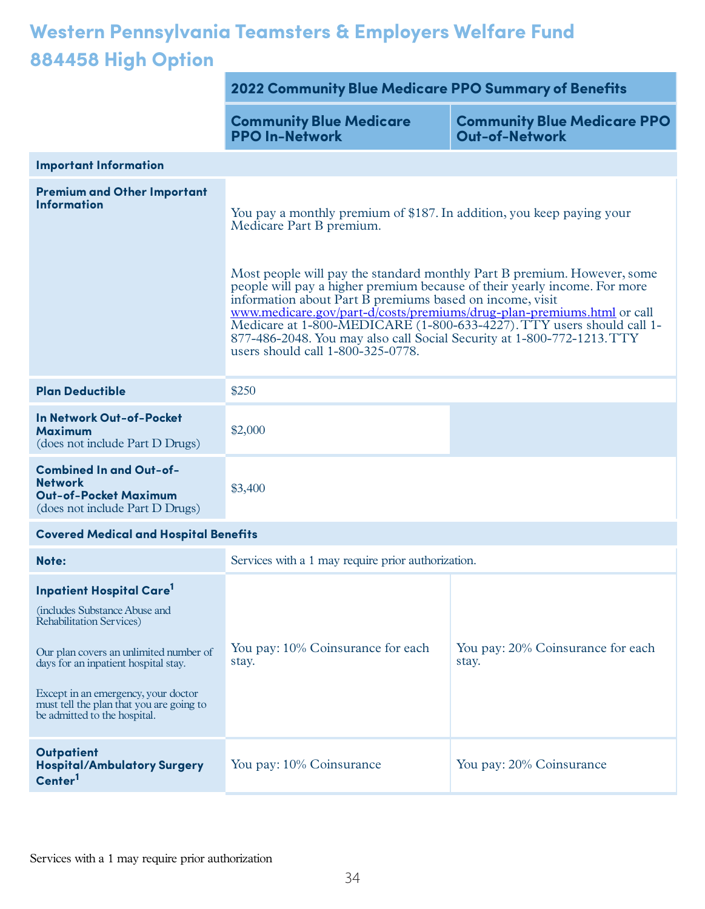## **Western Pennsylvania Teamsters & Employers Welfare Fund 884458 High Option**

|                                                                                                                                                                                                                                                                                                              | <b>2022 Community Blue Medicare PPO Summary of Benefits</b>                                                                                                                                                                                                                                                                                                                                                                                                                                                                                                                             |                                                             |
|--------------------------------------------------------------------------------------------------------------------------------------------------------------------------------------------------------------------------------------------------------------------------------------------------------------|-----------------------------------------------------------------------------------------------------------------------------------------------------------------------------------------------------------------------------------------------------------------------------------------------------------------------------------------------------------------------------------------------------------------------------------------------------------------------------------------------------------------------------------------------------------------------------------------|-------------------------------------------------------------|
|                                                                                                                                                                                                                                                                                                              | <b>Community Blue Medicare</b><br><b>PPO In-Network</b>                                                                                                                                                                                                                                                                                                                                                                                                                                                                                                                                 | <b>Community Blue Medicare PPO</b><br><b>Out-of-Network</b> |
| <b>Important Information</b>                                                                                                                                                                                                                                                                                 |                                                                                                                                                                                                                                                                                                                                                                                                                                                                                                                                                                                         |                                                             |
| <b>Premium and Other Important</b><br><b>Information</b>                                                                                                                                                                                                                                                     | You pay a monthly premium of \$187. In addition, you keep paying your<br>Medicare Part B premium.<br>Most people will pay the standard monthly Part B premium. However, some<br>people will pay a higher premium because of their yearly income. For more<br>information about Part B premiums based on income, visit<br>www.medicare.gov/part-d/costs/premiums/drug-plan-premiums.html or call<br>Medicare at 1-800-MEDICARE (1-800-633-4227). TTY users should call 1-<br>877-486-2048. You may also call Social Security at 1-800-772-1213. TTY<br>users should call 1-800-325-0778. |                                                             |
| <b>Plan Deductible</b>                                                                                                                                                                                                                                                                                       | \$250                                                                                                                                                                                                                                                                                                                                                                                                                                                                                                                                                                                   |                                                             |
| In Network Out-of-Pocket<br><b>Maximum</b><br>(does not include Part D Drugs)                                                                                                                                                                                                                                | \$2,000                                                                                                                                                                                                                                                                                                                                                                                                                                                                                                                                                                                 |                                                             |
| <b>Combined In and Out-of-</b><br><b>Network</b><br><b>Out-of-Pocket Maximum</b><br>(does not include Part D Drugs)                                                                                                                                                                                          | \$3,400                                                                                                                                                                                                                                                                                                                                                                                                                                                                                                                                                                                 |                                                             |
| <b>Covered Medical and Hospital Benefits</b>                                                                                                                                                                                                                                                                 |                                                                                                                                                                                                                                                                                                                                                                                                                                                                                                                                                                                         |                                                             |
| Note:                                                                                                                                                                                                                                                                                                        | Services with a 1 may require prior authorization.                                                                                                                                                                                                                                                                                                                                                                                                                                                                                                                                      |                                                             |
| <b>Inpatient Hospital Care<sup>1</sup></b><br>(includes Substance Abuse and<br>Rehabilitation Services)<br>Our plan covers an unlimited number of<br>days for an inpatient hospital stay.<br>Except in an emergency, your doctor<br>must tell the plan that you are going to<br>be admitted to the hospital. | You pay: 10% Coinsurance for each<br>stay.                                                                                                                                                                                                                                                                                                                                                                                                                                                                                                                                              | You pay: 20% Coinsurance for each<br>stay.                  |
| <b>Outpatient</b><br><b>Hospital/Ambulatory Surgery</b><br>Center <sup>1</sup>                                                                                                                                                                                                                               | You pay: 10% Coinsurance                                                                                                                                                                                                                                                                                                                                                                                                                                                                                                                                                                | You pay: 20% Coinsurance                                    |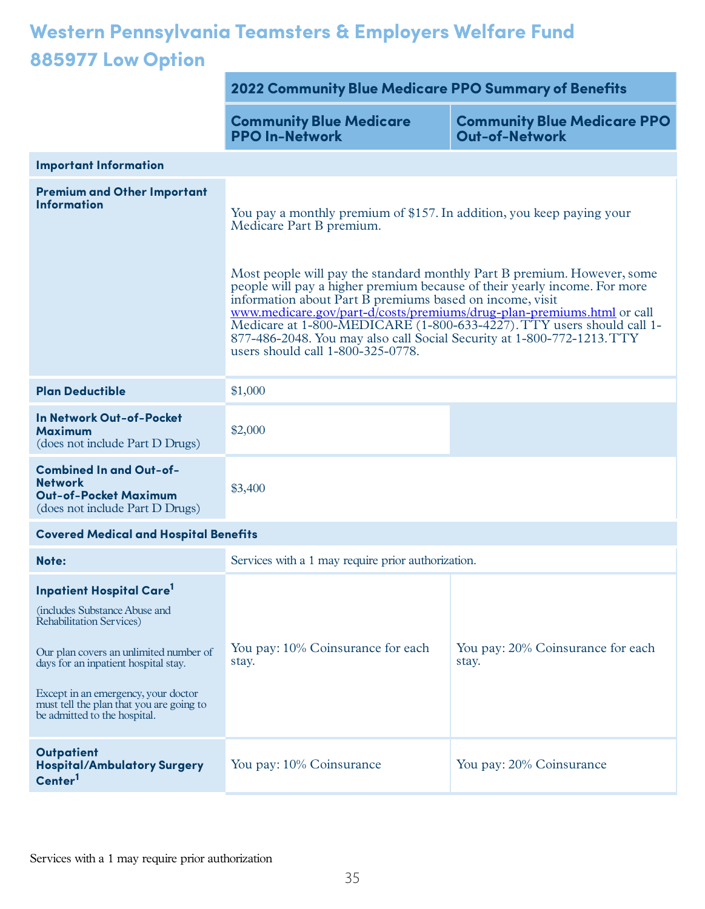## **Western Pennsylvania Teamsters & Employers Welfare Fund 885977Low Option**

|                                                                                                                                                                                                                                                                                                                      | 2022 Community Blue Medicare PPO Summary of Benefits                                                                                                                                                                                                                                                                                                                                                                                                                                                                                                                                    |                                                             |
|----------------------------------------------------------------------------------------------------------------------------------------------------------------------------------------------------------------------------------------------------------------------------------------------------------------------|-----------------------------------------------------------------------------------------------------------------------------------------------------------------------------------------------------------------------------------------------------------------------------------------------------------------------------------------------------------------------------------------------------------------------------------------------------------------------------------------------------------------------------------------------------------------------------------------|-------------------------------------------------------------|
|                                                                                                                                                                                                                                                                                                                      | <b>Community Blue Medicare</b><br><b>PPO In-Network</b>                                                                                                                                                                                                                                                                                                                                                                                                                                                                                                                                 | <b>Community Blue Medicare PPO</b><br><b>Out-of-Network</b> |
| <b>Important Information</b>                                                                                                                                                                                                                                                                                         |                                                                                                                                                                                                                                                                                                                                                                                                                                                                                                                                                                                         |                                                             |
| <b>Premium and Other Important</b><br><b>Information</b>                                                                                                                                                                                                                                                             | You pay a monthly premium of \$157. In addition, you keep paying your<br>Medicare Part B premium.<br>Most people will pay the standard monthly Part B premium. However, some<br>people will pay a higher premium because of their yearly income. For more<br>information about Part B premiums based on income, visit<br>www.medicare.gov/part-d/costs/premiums/drug-plan-premiums.html or call<br>Medicare at 1-800-MEDICARE (1-800-633-4227). TTY users should call 1-<br>877-486-2048. You may also call Social Security at 1-800-772-1213. TTY<br>users should call 1-800-325-0778. |                                                             |
| <b>Plan Deductible</b>                                                                                                                                                                                                                                                                                               | \$1,000                                                                                                                                                                                                                                                                                                                                                                                                                                                                                                                                                                                 |                                                             |
| <b>In Network Out-of-Pocket</b><br><b>Maximum</b><br>(does not include Part D Drugs)                                                                                                                                                                                                                                 | \$2,000                                                                                                                                                                                                                                                                                                                                                                                                                                                                                                                                                                                 |                                                             |
| <b>Combined In and Out-of-</b><br><b>Network</b><br><b>Out-of-Pocket Maximum</b><br>(does not include Part D Drugs)                                                                                                                                                                                                  | \$3,400                                                                                                                                                                                                                                                                                                                                                                                                                                                                                                                                                                                 |                                                             |
| <b>Covered Medical and Hospital Benefits</b>                                                                                                                                                                                                                                                                         |                                                                                                                                                                                                                                                                                                                                                                                                                                                                                                                                                                                         |                                                             |
| Note:                                                                                                                                                                                                                                                                                                                | Services with a 1 may require prior authorization.                                                                                                                                                                                                                                                                                                                                                                                                                                                                                                                                      |                                                             |
| <b>Inpatient Hospital Care<sup>1</sup></b><br>(includes Substance Abuse and<br><b>Rehabilitation Services</b> )<br>Our plan covers an unlimited number of<br>days for an inpatient hospital stay.<br>Except in an emergency, your doctor<br>must tell the plan that you are going to<br>be admitted to the hospital. | You pay: 10% Coinsurance for each<br>stay.                                                                                                                                                                                                                                                                                                                                                                                                                                                                                                                                              | You pay: 20% Coinsurance for each<br>stay.                  |
| <b>Outpatient</b><br><b>Hospital/Ambulatory Surgery</b><br>Center <sup>1</sup>                                                                                                                                                                                                                                       | You pay: 10% Coinsurance                                                                                                                                                                                                                                                                                                                                                                                                                                                                                                                                                                | You pay: 20% Coinsurance                                    |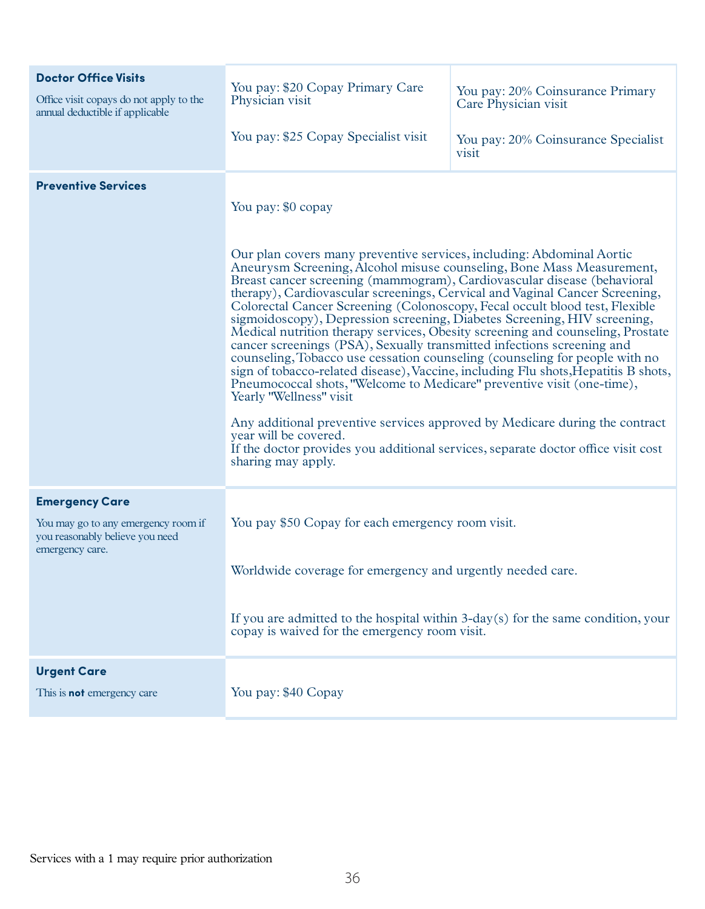| <b>Doctor Office Visits</b><br>Office visit copays do not apply to the<br>annual deductible if applicable          | You pay: \$20 Copay Primary Care<br>Physician visit<br>You pay: \$25 Copay Specialist visit                                                                                                                                                                                                                                                                                                                                                                                                                                                                                                                                                                                                                                                                                                                                                                                                                                                                                                                                                                                                                                                        | You pay: 20% Coinsurance Primary<br>Care Physician visit<br>You pay: 20% Coinsurance Specialist<br>visit |
|--------------------------------------------------------------------------------------------------------------------|----------------------------------------------------------------------------------------------------------------------------------------------------------------------------------------------------------------------------------------------------------------------------------------------------------------------------------------------------------------------------------------------------------------------------------------------------------------------------------------------------------------------------------------------------------------------------------------------------------------------------------------------------------------------------------------------------------------------------------------------------------------------------------------------------------------------------------------------------------------------------------------------------------------------------------------------------------------------------------------------------------------------------------------------------------------------------------------------------------------------------------------------------|----------------------------------------------------------------------------------------------------------|
| <b>Preventive Services</b>                                                                                         | You pay: \$0 copay<br>Our plan covers many preventive services, including: Abdominal Aortic<br>Aneurysm Screening, Alcohol misuse counseling, Bone Mass Measurement,<br>Breast cancer screening (mammogram), Cardiovascular disease (behavioral<br>therapy), Cardiovascular screenings, Cervical and Vaginal Cancer Screening,<br>Colorectal Cancer Screening (Colonoscopy, Fecal occult blood test, Flexible<br>sigmoidoscopy), Depression screening, Diabetes Screening, HIV screening,<br>Medical nutrition therapy services, Obesity screening and counseling, Prostate<br>cancer screenings (PSA), Sexually transmitted infections screening and<br>counseling, Tobacco use cessation counseling (counseling for people with no<br>sign of tobacco-related disease), Vaccine, including Flu shots, Hepatitis B shots,<br>Pneumococcal shots, "Welcome to Medicare" preventive visit (one-time),<br>Yearly "Wellness" visit<br>Any additional preventive services approved by Medicare during the contract<br>year will be covered.<br>If the doctor provides you additional services, separate doctor office visit cost<br>sharing may apply. |                                                                                                          |
| <b>Emergency Care</b><br>You may go to any emergency room if<br>you reasonably believe you need<br>emergency care. | You pay \$50 Copay for each emergency room visit.<br>Worldwide coverage for emergency and urgently needed care<br>If you are admitted to the hospital within 3-day(s) for the same condition, your<br>copay is waived for the emergency room visit.                                                                                                                                                                                                                                                                                                                                                                                                                                                                                                                                                                                                                                                                                                                                                                                                                                                                                                |                                                                                                          |
| <b>Urgent Care</b><br>This is <b>not</b> emergency care                                                            | You pay: \$40 Copay                                                                                                                                                                                                                                                                                                                                                                                                                                                                                                                                                                                                                                                                                                                                                                                                                                                                                                                                                                                                                                                                                                                                |                                                                                                          |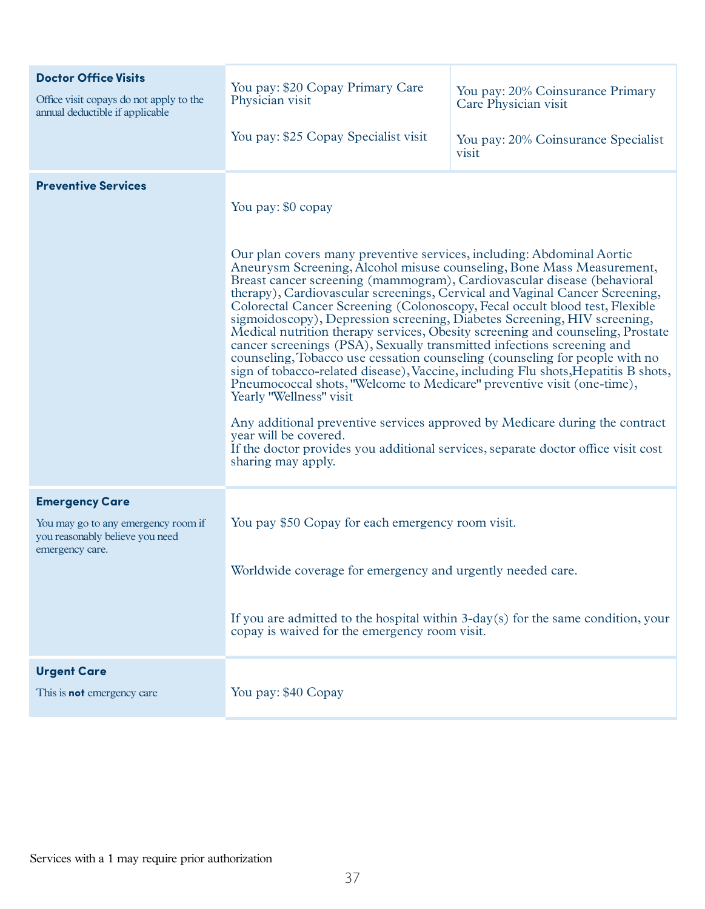| <b>Doctor Office Visits</b><br>Office visit copays do not apply to the<br>annual deductible if applicable          | You pay: \$20 Copay Primary Care<br>Physician visit<br>You pay: \$25 Copay Specialist visit                                                                                                                                                                                                                                                                                                                                                                                                                                                                                                                                                                                                                                                                                                                                                                                                                                                                                                                                                                                                                                                        | You pay: 20% Coinsurance Primary<br>Care Physician visit<br>You pay: 20% Coinsurance Specialist<br>visit |
|--------------------------------------------------------------------------------------------------------------------|----------------------------------------------------------------------------------------------------------------------------------------------------------------------------------------------------------------------------------------------------------------------------------------------------------------------------------------------------------------------------------------------------------------------------------------------------------------------------------------------------------------------------------------------------------------------------------------------------------------------------------------------------------------------------------------------------------------------------------------------------------------------------------------------------------------------------------------------------------------------------------------------------------------------------------------------------------------------------------------------------------------------------------------------------------------------------------------------------------------------------------------------------|----------------------------------------------------------------------------------------------------------|
| <b>Preventive Services</b>                                                                                         | You pay: \$0 copay<br>Our plan covers many preventive services, including: Abdominal Aortic<br>Aneurysm Screening, Alcohol misuse counseling, Bone Mass Measurement,<br>Breast cancer screening (mammogram), Cardiovascular disease (behavioral<br>therapy), Cardiovascular screenings, Cervical and Vaginal Cancer Screening,<br>Colorectal Cancer Screening (Colonoscopy, Fecal occult blood test, Flexible<br>sigmoidoscopy), Depression screening, Diabetes Screening, HIV screening,<br>Medical nutrition therapy services, Obesity screening and counseling, Prostate<br>cancer screenings (PSA), Sexually transmitted infections screening and<br>counseling, Tobacco use cessation counseling (counseling for people with no<br>sign of tobacco-related disease), Vaccine, including Flu shots, Hepatitis B shots,<br>Pneumococcal shots, "Welcome to Medicare" preventive visit (one-time),<br>Yearly "Wellness" visit<br>Any additional preventive services approved by Medicare during the contract<br>year will be covered.<br>If the doctor provides you additional services, separate doctor office visit cost<br>sharing may apply. |                                                                                                          |
| <b>Emergency Care</b><br>You may go to any emergency room if<br>you reasonably believe you need<br>emergency care. | You pay \$50 Copay for each emergency room visit.<br>Worldwide coverage for emergency and urgently needed care.<br>If you are admitted to the hospital within 3-day(s) for the same condition, your<br>copay is waived for the emergency room visit.                                                                                                                                                                                                                                                                                                                                                                                                                                                                                                                                                                                                                                                                                                                                                                                                                                                                                               |                                                                                                          |
| <b>Urgent Care</b><br>This is <b>not</b> emergency care                                                            | You pay: \$40 Copay                                                                                                                                                                                                                                                                                                                                                                                                                                                                                                                                                                                                                                                                                                                                                                                                                                                                                                                                                                                                                                                                                                                                |                                                                                                          |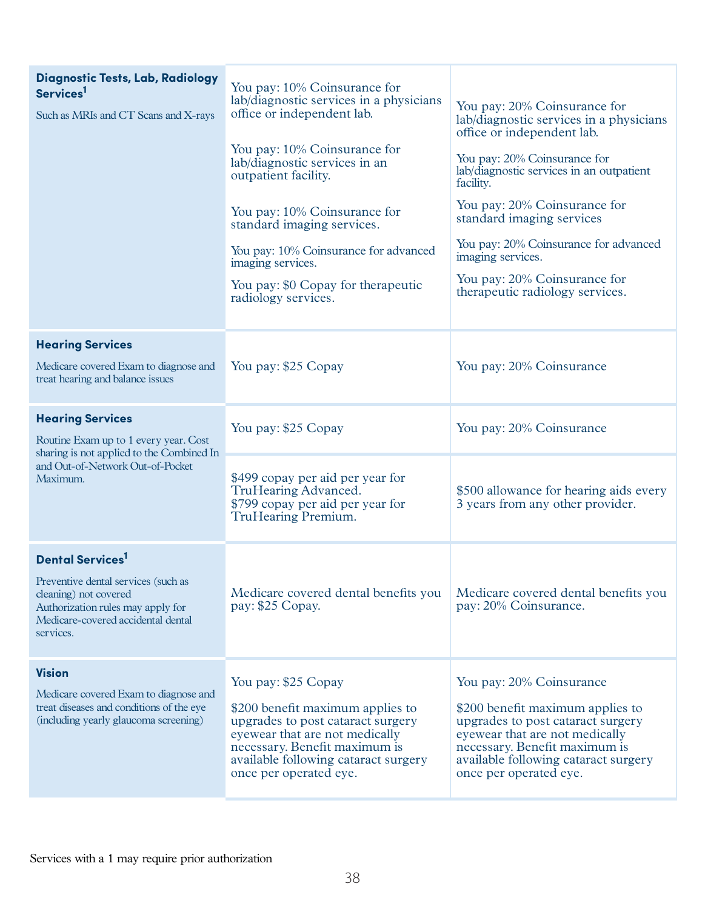| Diagnostic Tests, Lab, Radiology<br>Services <sup>1</sup><br>Such as MRIs and CT Scans and X-rays                                                    | You pay: 10% Coinsurance for<br>lab/diagnostic services in a physicians<br>office or independent lab.<br>You pay: 10% Coinsurance for<br>lab/diagnostic services in an<br>outpatient facility.<br>You pay: 10% Coinsurance for<br>standard imaging services.<br>You pay: 10% Coinsurance for advanced<br>imaging services.<br>You pay: \$0 Copay for the rapeutic<br>radiology services. | You pay: 20% Coinsurance for<br>lab/diagnostic services in a physicians<br>office or independent lab.<br>You pay: 20% Coinsurance for<br>lab/diagnostic services in an outpatient<br>facility.<br>You pay: 20% Coinsurance for<br>standard imaging services<br>You pay: 20% Coinsurance for advanced<br>imaging services.<br>You pay: 20% Coinsurance for<br>therapeutic radiology services. |
|------------------------------------------------------------------------------------------------------------------------------------------------------|------------------------------------------------------------------------------------------------------------------------------------------------------------------------------------------------------------------------------------------------------------------------------------------------------------------------------------------------------------------------------------------|----------------------------------------------------------------------------------------------------------------------------------------------------------------------------------------------------------------------------------------------------------------------------------------------------------------------------------------------------------------------------------------------|
| <b>Hearing Services</b><br>Medicare covered Exam to diagnose and<br>treat hearing and balance issues                                                 | You pay: \$25 Copay                                                                                                                                                                                                                                                                                                                                                                      | You pay: 20% Coinsurance                                                                                                                                                                                                                                                                                                                                                                     |
| <b>Hearing Services</b><br>Routine Exam up to 1 every year. Cost<br>sharing is not applied to the Combined In                                        | You pay: \$25 Copay                                                                                                                                                                                                                                                                                                                                                                      | You pay: 20% Coinsurance                                                                                                                                                                                                                                                                                                                                                                     |
| and Out-of-Network Out-of-Pocket<br>Maximum.                                                                                                         | \$499 copay per aid per year for<br>TruHearing Advanced.<br>\$799 copay per aid per year for<br>TruHearing Premium.                                                                                                                                                                                                                                                                      | \$500 allowance for hearing aids every<br>3 years from any other provider.                                                                                                                                                                                                                                                                                                                   |
| <b>Dental Services</b>                                                                                                                               |                                                                                                                                                                                                                                                                                                                                                                                          |                                                                                                                                                                                                                                                                                                                                                                                              |
| Preventive dental services (such as<br>cleaning) not covered<br>Authorization rules may apply for<br>Medicare-covered accidental dental<br>services. | Medicare covered dental benefits you<br>pay: \$25 Copay.                                                                                                                                                                                                                                                                                                                                 | Medicare covered dental benefits you<br>pay: 20% Coinsurance.                                                                                                                                                                                                                                                                                                                                |
| <b>Vision</b>                                                                                                                                        | You pay: \$25 Copay                                                                                                                                                                                                                                                                                                                                                                      | You pay: 20% Coinsurance                                                                                                                                                                                                                                                                                                                                                                     |
| Medicare covered Exam to diagnose and<br>treat diseases and conditions of the eye<br>(including yearly glaucoma screening)                           | \$200 benefit maximum applies to<br>upgrades to post cataract surgery<br>eyewear that are not medically<br>necessary. Benefit maximum is<br>available following cataract surgery<br>once per operated eye.                                                                                                                                                                               | \$200 benefit maximum applies to<br>upgrades to post cataract surgery<br>eyewear that are not medically<br>necessary. Benefit maximum is<br>available following cataract surgery<br>once per operated eye.                                                                                                                                                                                   |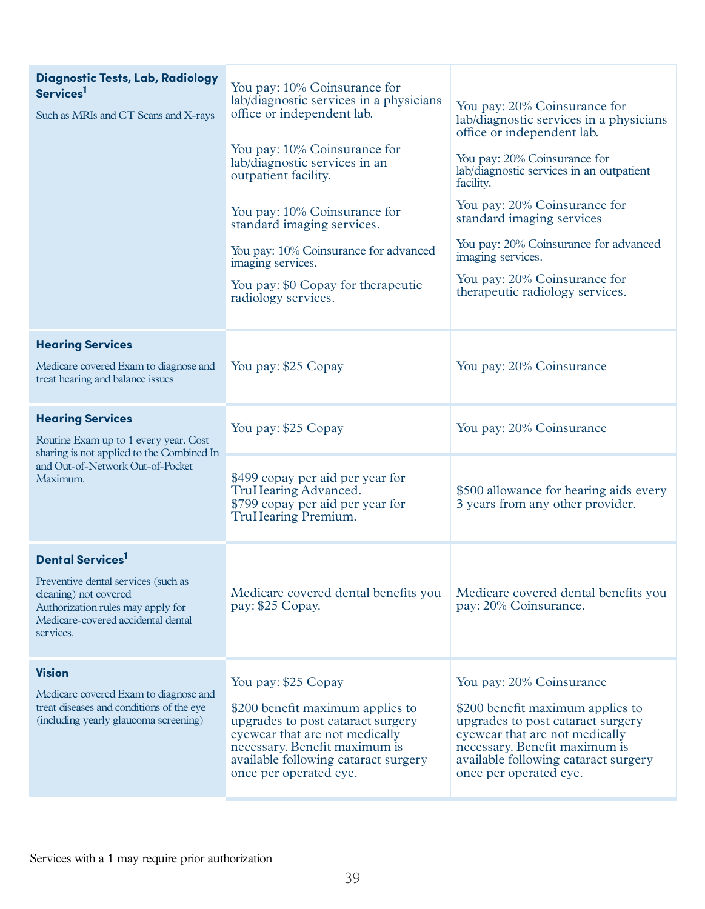| Diagnostic Tests, Lab, Radiology<br>Services <sup>1</sup><br>Such as MRIs and CT Scans and X-rays                                                    | You pay: 10% Coinsurance for<br>lab/diagnostic services in a physicians<br>office or independent lab.<br>You pay: 10% Coinsurance for<br>lab/diagnostic services in an<br>outpatient facility.<br>You pay: 10% Coinsurance for<br>standard imaging services.<br>You pay: 10% Coinsurance for advanced<br>imaging services.<br>You pay: \$0 Copay for the rapeutic<br>radiology services. | You pay: 20% Coinsurance for<br>lab/diagnostic services in a physicians<br>office or independent lab.<br>You pay: 20% Coinsurance for<br>lab/diagnostic services in an outpatient<br>facility.<br>You pay: 20% Coinsurance for<br>standard imaging services<br>You pay: 20% Coinsurance for advanced<br>imaging services.<br>You pay: 20% Coinsurance for<br>therapeutic radiology services. |
|------------------------------------------------------------------------------------------------------------------------------------------------------|------------------------------------------------------------------------------------------------------------------------------------------------------------------------------------------------------------------------------------------------------------------------------------------------------------------------------------------------------------------------------------------|----------------------------------------------------------------------------------------------------------------------------------------------------------------------------------------------------------------------------------------------------------------------------------------------------------------------------------------------------------------------------------------------|
| <b>Hearing Services</b><br>Medicare covered Exam to diagnose and<br>treat hearing and balance issues                                                 | You pay: \$25 Copay                                                                                                                                                                                                                                                                                                                                                                      | You pay: 20% Coinsurance                                                                                                                                                                                                                                                                                                                                                                     |
| <b>Hearing Services</b><br>Routine Exam up to 1 every year. Cost<br>sharing is not applied to the Combined In                                        | You pay: \$25 Copay                                                                                                                                                                                                                                                                                                                                                                      | You pay: 20% Coinsurance                                                                                                                                                                                                                                                                                                                                                                     |
| and Out-of-Network Out-of-Pocket<br>Maximum.                                                                                                         | \$499 copay per aid per year for<br>TruHearing Advanced.<br>\$799 copay per aid per year for<br>TruHearing Premium.                                                                                                                                                                                                                                                                      | \$500 allowance for hearing aids every<br>3 years from any other provider.                                                                                                                                                                                                                                                                                                                   |
| <b>Dental Services</b>                                                                                                                               |                                                                                                                                                                                                                                                                                                                                                                                          |                                                                                                                                                                                                                                                                                                                                                                                              |
| Preventive dental services (such as<br>cleaning) not covered<br>Authorization rules may apply for<br>Medicare-covered accidental dental<br>services. | Medicare covered dental benefits you<br>pay: \$25 Copay.                                                                                                                                                                                                                                                                                                                                 | Medicare covered dental benefits you<br>pay: 20% Coinsurance.                                                                                                                                                                                                                                                                                                                                |
| <b>Vision</b>                                                                                                                                        | You pay: \$25 Copay                                                                                                                                                                                                                                                                                                                                                                      | You pay: 20% Coinsurance                                                                                                                                                                                                                                                                                                                                                                     |
| Medicare covered Exam to diagnose and<br>treat diseases and conditions of the eye<br>(including yearly glaucoma screening)                           | \$200 benefit maximum applies to<br>upgrades to post cataract surgery<br>eyewear that are not medically<br>necessary. Benefit maximum is<br>available following cataract surgery<br>once per operated eye.                                                                                                                                                                               | \$200 benefit maximum applies to<br>upgrades to post cataract surgery<br>eyewear that are not medically<br>necessary. Benefit maximum is<br>available following cataract surgery<br>once per operated eye.                                                                                                                                                                                   |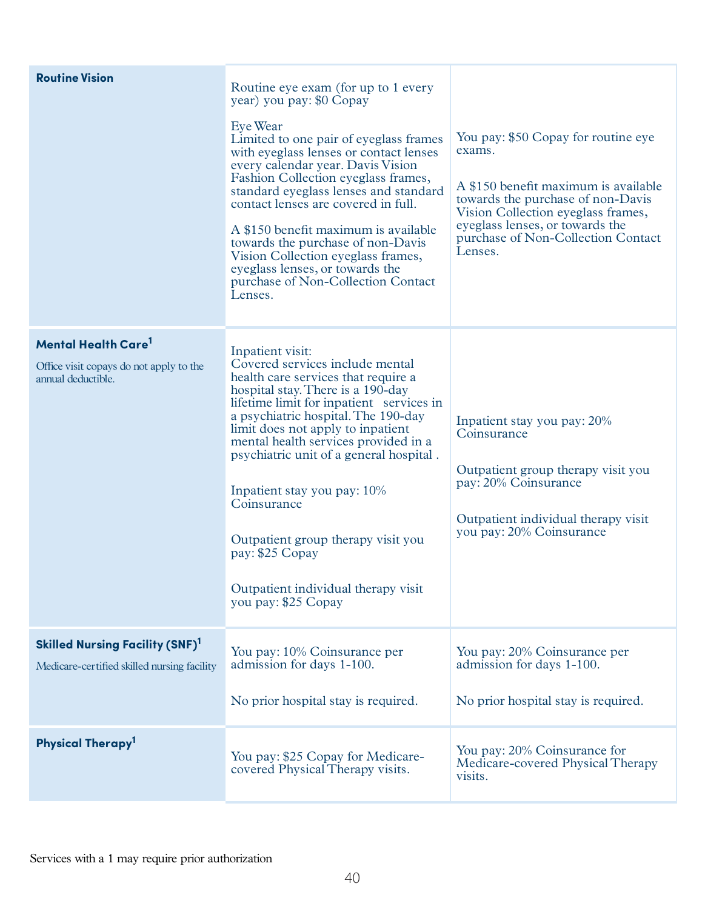| <b>Routine Vision</b>                                                                             | Routine eye exam (for up to 1 every<br>year) you pay: \$0 Copay<br>Eye Wear<br>Limited to one pair of eyeglass frames<br>with eyeglass lenses or contact lenses<br>every calendar year. Davis Vision<br>Fashion Collection eyeglass frames,<br>standard eyeglass lenses and standard<br>contact lenses are covered in full.<br>A \$150 benefit maximum is available<br>towards the purchase of non-Davis<br>Vision Collection eyeglass frames,<br>eyeglass lenses, or towards the<br>purchase of Non-Collection Contact<br>Lenses. | You pay: \$50 Copay for routine eye<br>exams.<br>A \$150 benefit maximum is available<br>towards the purchase of non-Davis<br>Vision Collection eyeglass frames,<br>eyeglass lenses, or towards the<br>purchase of Non-Collection Contact<br>Lenses. |
|---------------------------------------------------------------------------------------------------|------------------------------------------------------------------------------------------------------------------------------------------------------------------------------------------------------------------------------------------------------------------------------------------------------------------------------------------------------------------------------------------------------------------------------------------------------------------------------------------------------------------------------------|------------------------------------------------------------------------------------------------------------------------------------------------------------------------------------------------------------------------------------------------------|
| Mental Health Care <sup>1</sup><br>Office visit copays do not apply to the<br>annual deductible.  | Inpatient visit:<br>Covered services include mental<br>health care services that require a<br>hospital stay. There is a 190-day<br>lifetime limit for inpatient services in<br>a psychiatric hospital. The 190-day<br>limit does not apply to inpatient<br>mental health services provided in a<br>psychiatric unit of a general hospital.<br>Inpatient stay you pay: 10%<br>Coinsurance<br>Outpatient group therapy visit you<br>pay: \$25 Copay<br>Outpatient individual therapy visit<br>you pay: \$25 Copay                    | Inpatient stay you pay: 20%<br>Coinsurance<br>Outpatient group therapy visit you<br>pay: 20% Coinsurance<br>Outpatient individual therapy visit<br>you pay: 20% Coinsurance                                                                          |
| <b>Skilled Nursing Facility (SNF)</b> <sup>1</sup><br>Medicare-certified skilled nursing facility | You pay: 10% Coinsurance per<br>admission for days 1-100.<br>No prior hospital stay is required.                                                                                                                                                                                                                                                                                                                                                                                                                                   | You pay: 20% Coinsurance per<br>admission for days 1-100.<br>No prior hospital stay is required.                                                                                                                                                     |
| Physical Therapy <sup>1</sup>                                                                     | You pay: \$25 Copay for Medicare-<br>covered Physical Therapy visits.                                                                                                                                                                                                                                                                                                                                                                                                                                                              | You pay: 20% Coinsurance for<br>Medicare-covered Physical Therapy<br>visits.                                                                                                                                                                         |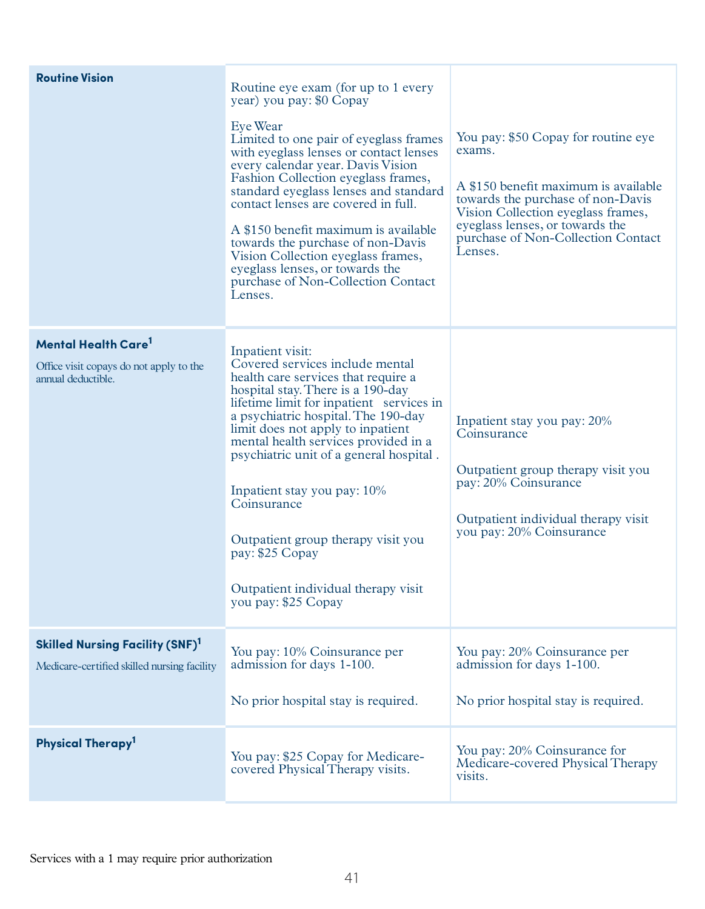| <b>Routine Vision</b>                                                                             | Routine eye exam (for up to 1 every<br>year) you pay: \$0 Copay<br>Eye Wear<br>Limited to one pair of eyeglass frames<br>with eyeglass lenses or contact lenses<br>every calendar year. Davis Vision<br>Fashion Collection eyeglass frames,<br>standard eyeglass lenses and standard<br>contact lenses are covered in full.<br>A \$150 benefit maximum is available<br>towards the purchase of non-Davis<br>Vision Collection eyeglass frames,<br>eyeglass lenses, or towards the<br>purchase of Non-Collection Contact<br>Lenses. | You pay: \$50 Copay for routine eye<br>exams.<br>A \$150 benefit maximum is available<br>towards the purchase of non-Davis<br>Vision Collection eyeglass frames,<br>eyeglass lenses, or towards the<br>purchase of Non-Collection Contact<br>Lenses. |
|---------------------------------------------------------------------------------------------------|------------------------------------------------------------------------------------------------------------------------------------------------------------------------------------------------------------------------------------------------------------------------------------------------------------------------------------------------------------------------------------------------------------------------------------------------------------------------------------------------------------------------------------|------------------------------------------------------------------------------------------------------------------------------------------------------------------------------------------------------------------------------------------------------|
| Mental Health Care <sup>1</sup><br>Office visit copays do not apply to the<br>annual deductible.  | Inpatient visit:<br>Covered services include mental<br>health care services that require a<br>hospital stay. There is a 190-day<br>lifetime limit for inpatient services in<br>a psychiatric hospital. The 190-day<br>limit does not apply to inpatient<br>mental health services provided in a<br>psychiatric unit of a general hospital.<br>Inpatient stay you pay: 10%<br>Coinsurance<br>Outpatient group therapy visit you<br>pay: \$25 Copay<br>Outpatient individual therapy visit<br>you pay: \$25 Copay                    | Inpatient stay you pay: 20%<br>Coinsurance<br>Outpatient group therapy visit you<br>pay: 20% Coinsurance<br>Outpatient individual therapy visit<br>you pay: 20% Coinsurance                                                                          |
| <b>Skilled Nursing Facility (SNF)</b> <sup>1</sup><br>Medicare-certified skilled nursing facility | You pay: 10% Coinsurance per<br>admission for days 1-100.<br>No prior hospital stay is required.                                                                                                                                                                                                                                                                                                                                                                                                                                   | You pay: 20% Coinsurance per<br>admission for days 1-100.<br>No prior hospital stay is required.                                                                                                                                                     |
| Physical Therapy <sup>1</sup>                                                                     | You pay: \$25 Copay for Medicare-<br>covered Physical Therapy visits.                                                                                                                                                                                                                                                                                                                                                                                                                                                              | You pay: 20% Coinsurance for<br>Medicare-covered Physical Therapy<br>visits.                                                                                                                                                                         |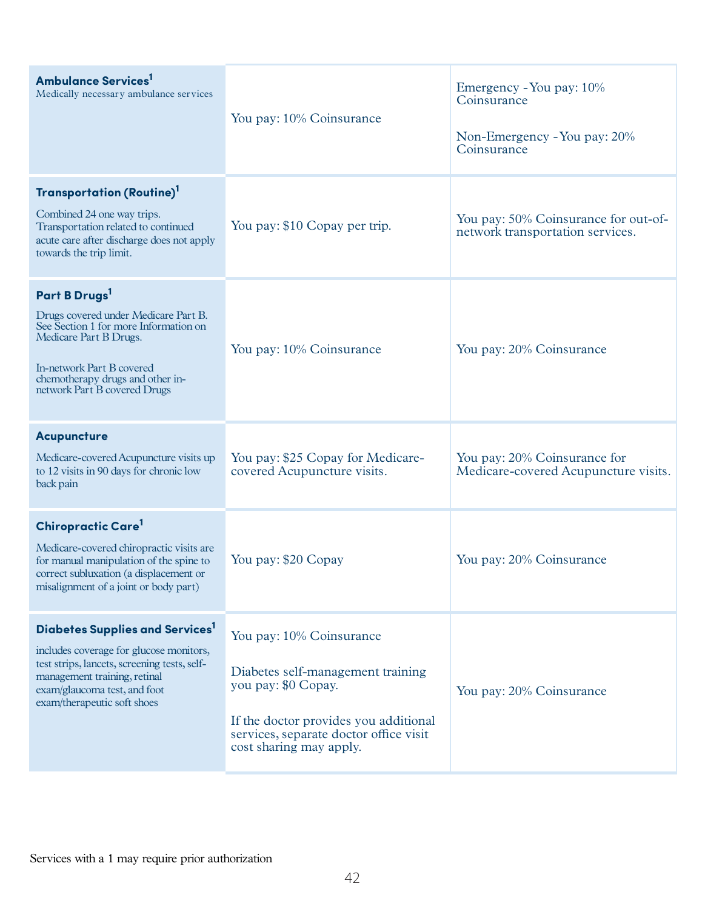| <b>Ambulance Services</b><br>Medically necessary ambulance services                                                                                                                                                                   | You pay: 10% Coinsurance                                                                                                                                                                           | Emergency - You pay: 10%<br>Coinsurance<br>Non-Emergency - You pay: 20%<br>Coinsurance |
|---------------------------------------------------------------------------------------------------------------------------------------------------------------------------------------------------------------------------------------|----------------------------------------------------------------------------------------------------------------------------------------------------------------------------------------------------|----------------------------------------------------------------------------------------|
| Transportation (Routine) <sup>1</sup><br>Combined 24 one way trips.<br>Transportation related to continued<br>acute care after discharge does not apply<br>towards the trip limit.                                                    | You pay: \$10 Copay per trip.                                                                                                                                                                      | You pay: 50% Coinsurance for out-of-<br>network transportation services.               |
| Part B Drugs <sup>1</sup><br>Drugs covered under Medicare Part B.<br>See Section 1 for more Information on<br>Medicare Part B Drugs.<br>In-network Part B covered<br>chemotherapy drugs and other in-<br>network Part B covered Drugs | You pay: 10% Coinsurance                                                                                                                                                                           | You pay: 20% Coinsurance                                                               |
| <b>Acupuncture</b><br>Medicare-covered Acupuncture visits up<br>to 12 visits in 90 days for chronic low<br>back pain                                                                                                                  | You pay: \$25 Copay for Medicare-<br>covered Acupuncture visits.                                                                                                                                   | You pay: 20% Coinsurance for<br>Medicare-covered Acupuncture visits.                   |
| Chiropractic Care <sup>1</sup><br>Medicare-covered chiropractic visits are<br>for manual manipulation of the spine to<br>correct subluxation (a displacement or<br>misalignment of a joint or body part)                              | You pay: \$20 Copay                                                                                                                                                                                | You pay: 20% Coinsurance                                                               |
| Diabetes Supplies and Services <sup>1</sup><br>includes coverage for glucose monitors,<br>test strips, lancets, screening tests, self-<br>management training, retinal<br>exam/glaucoma test, and foot<br>exam/therapeutic soft shoes | You pay: 10% Coinsurance<br>Diabetes self-management training<br>you pay: \$0 Copay.<br>If the doctor provides you additional<br>services, separate doctor office visit<br>cost sharing may apply. | You pay: 20% Coinsurance                                                               |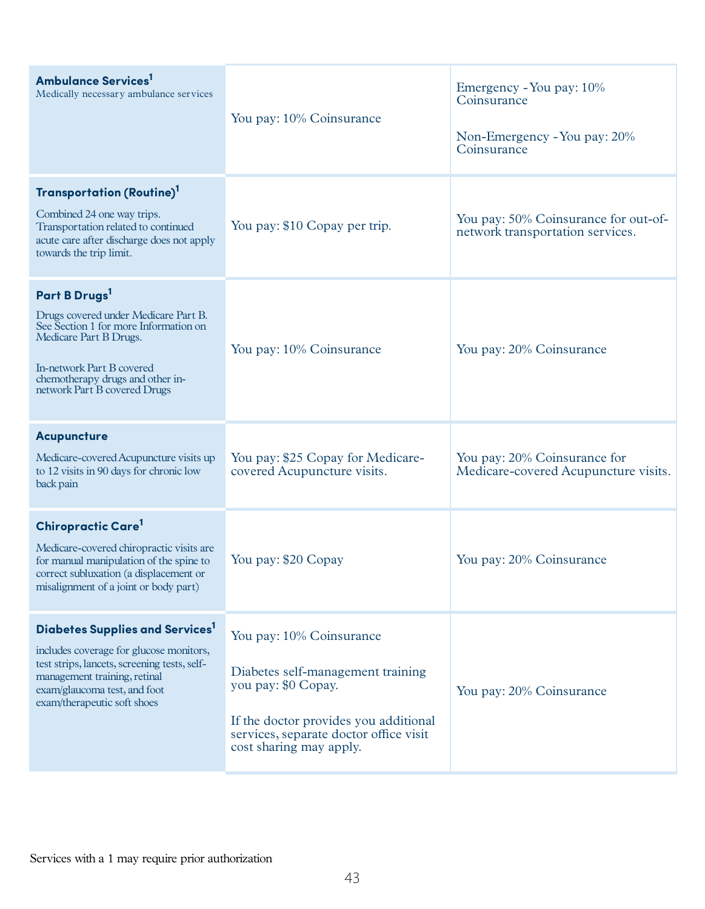| <b>Ambulance Services</b><br>Medically necessary ambulance services                                                                                                                                                                   | You pay: 10% Coinsurance                                                                                                                                                                           | Emergency - You pay: 10%<br>Coinsurance<br>Non-Emergency - You pay: 20%<br>Coinsurance |
|---------------------------------------------------------------------------------------------------------------------------------------------------------------------------------------------------------------------------------------|----------------------------------------------------------------------------------------------------------------------------------------------------------------------------------------------------|----------------------------------------------------------------------------------------|
| Transportation (Routine) <sup>1</sup><br>Combined 24 one way trips.<br>Transportation related to continued<br>acute care after discharge does not apply<br>towards the trip limit.                                                    | You pay: \$10 Copay per trip.                                                                                                                                                                      | You pay: 50% Coinsurance for out-of-<br>network transportation services.               |
| Part B Drugs <sup>1</sup><br>Drugs covered under Medicare Part B.<br>See Section 1 for more Information on<br>Medicare Part B Drugs.<br>In-network Part B covered<br>chemotherapy drugs and other in-<br>network Part B covered Drugs | You pay: 10% Coinsurance                                                                                                                                                                           | You pay: 20% Coinsurance                                                               |
| <b>Acupuncture</b><br>Medicare-covered Acupuncture visits up<br>to 12 visits in 90 days for chronic low<br>back pain                                                                                                                  | You pay: \$25 Copay for Medicare-<br>covered Acupuncture visits.                                                                                                                                   | You pay: 20% Coinsurance for<br>Medicare-covered Acupuncture visits.                   |
| Chiropractic Care <sup>1</sup><br>Medicare-covered chiropractic visits are<br>for manual manipulation of the spine to<br>correct subluxation (a displacement or<br>misalignment of a joint or body part)                              | You pay: \$20 Copay                                                                                                                                                                                | You pay: 20% Coinsurance                                                               |
| Diabetes Supplies and Services <sup>1</sup><br>includes coverage for glucose monitors,<br>test strips, lancets, screening tests, self-<br>management training, retinal<br>exam/glaucoma test, and foot<br>exam/therapeutic soft shoes | You pay: 10% Coinsurance<br>Diabetes self-management training<br>you pay: \$0 Copay.<br>If the doctor provides you additional<br>services, separate doctor office visit<br>cost sharing may apply. | You pay: 20% Coinsurance                                                               |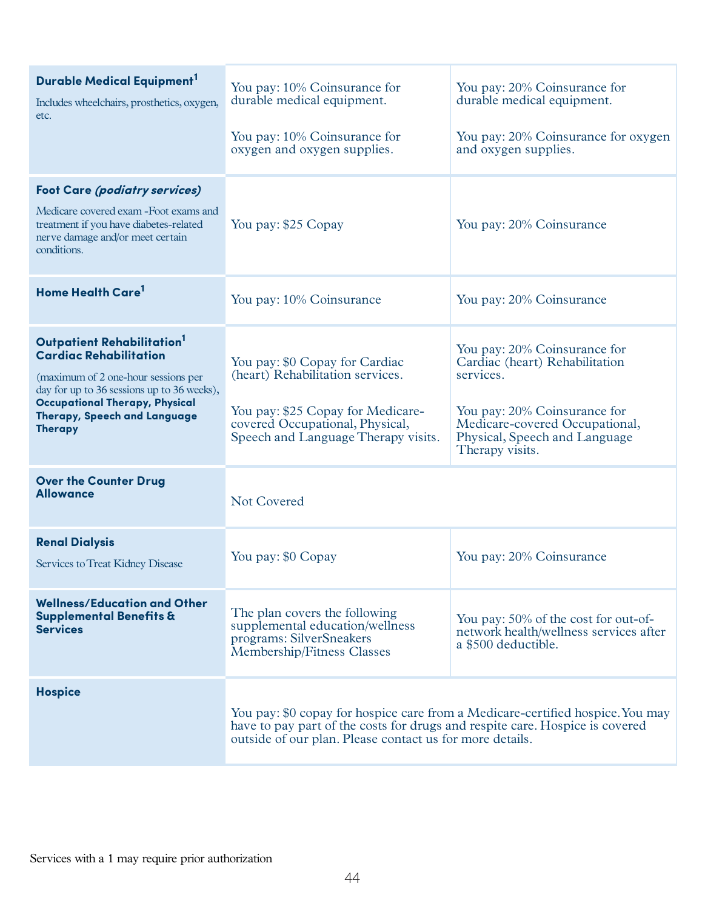| Durable Medical Equipment <sup>1</sup><br>Includes wheelchairs, prosthetics, oxygen,<br>etc.                                                                                                                                                            | You pay: 10% Coinsurance for<br>durable medical equipment.<br>You pay: 10% Coinsurance for<br>oxygen and oxygen supplies.                                                                                                  | You pay: 20% Coinsurance for<br>durable medical equipment.<br>You pay: 20% Coinsurance for oxygen<br>and oxygen supplies.                                                                         |
|---------------------------------------------------------------------------------------------------------------------------------------------------------------------------------------------------------------------------------------------------------|----------------------------------------------------------------------------------------------------------------------------------------------------------------------------------------------------------------------------|---------------------------------------------------------------------------------------------------------------------------------------------------------------------------------------------------|
| <b>Foot Care (podiatry services)</b><br>Medicare covered exam - Foot exams and<br>treatment if you have diabetes-related<br>nerve damage and/or meet certain<br>conditions.                                                                             | You pay: \$25 Copay                                                                                                                                                                                                        | You pay: 20% Coinsurance                                                                                                                                                                          |
| Home Health Care <sup>1</sup>                                                                                                                                                                                                                           | You pay: 10% Coinsurance                                                                                                                                                                                                   | You pay: 20% Coinsurance                                                                                                                                                                          |
| Outpatient Rehabilitation <sup>1</sup><br><b>Cardiac Rehabilitation</b><br>(maximum of 2 one-hour sessions per<br>day for up to 36 sessions up to 36 weeks),<br><b>Occupational Therapy, Physical</b><br>Therapy, Speech and Language<br><b>Therapy</b> | You pay: \$0 Copay for Cardiac<br>(heart) Rehabilitation services.<br>You pay: \$25 Copay for Medicare-<br>covered Occupational, Physical,<br>Speech and Language Therapy visits.                                          | You pay: 20% Coinsurance for<br>Cardiac (heart) Rehabilitation<br>services.<br>You pay: 20% Coinsurance for<br>Medicare-covered Occupational,<br>Physical, Speech and Language<br>Therapy visits. |
| <b>Over the Counter Drug</b><br><b>Allowance</b>                                                                                                                                                                                                        | <b>Not Covered</b>                                                                                                                                                                                                         |                                                                                                                                                                                                   |
| <b>Renal Dialysis</b><br>Services to Treat Kidney Disease                                                                                                                                                                                               | You pay: \$0 Copay                                                                                                                                                                                                         | You pay: 20% Coinsurance                                                                                                                                                                          |
| <b>Wellness/Education and Other</b><br><b>Supplemental Benefits &amp;</b><br><b>Services</b>                                                                                                                                                            | The plan covers the following<br>supplemental education/wellness<br>programs: SilverSneakers<br>Membership/Fitness Classes                                                                                                 | You pay: 50% of the cost for out-of-<br>network health/wellness services after<br>a \$500 deductible.                                                                                             |
| <b>Hospice</b>                                                                                                                                                                                                                                          | You pay: \$0 copay for hospice care from a Medicare-certified hospice. You may<br>have to pay part of the costs for drugs and respite care. Hospice is covered<br>outside of our plan. Please contact us for more details. |                                                                                                                                                                                                   |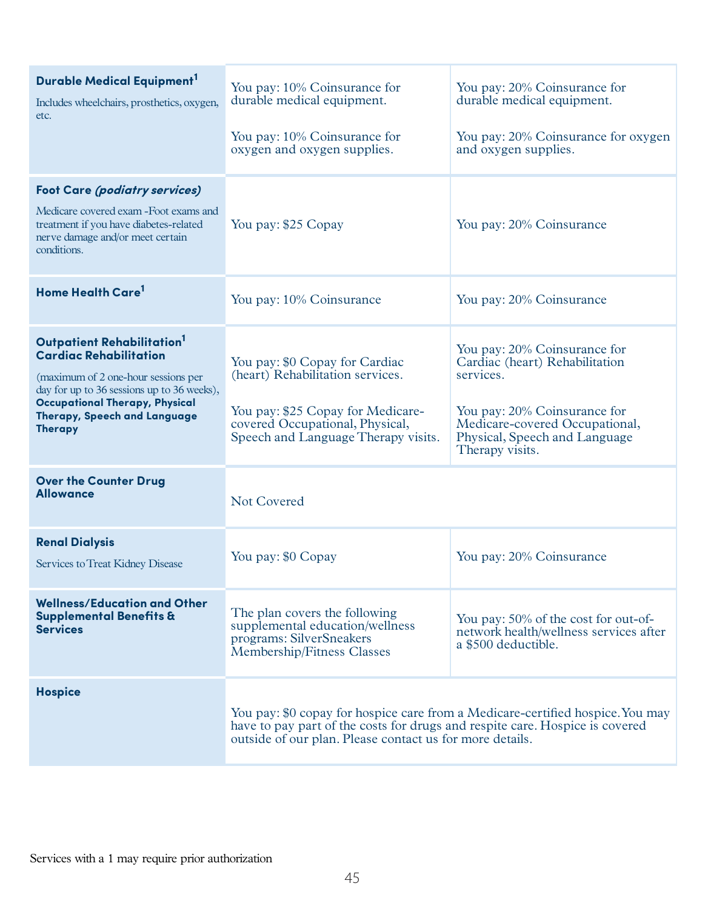| Durable Medical Equipment <sup>1</sup><br>Includes wheelchairs, prosthetics, oxygen,<br>etc.                                                                                                                                                            | You pay: 10% Coinsurance for<br>durable medical equipment.<br>You pay: 10% Coinsurance for<br>oxygen and oxygen supplies.                                                                                                  | You pay: 20% Coinsurance for<br>durable medical equipment.<br>You pay: 20% Coinsurance for oxygen<br>and oxygen supplies.                                                                         |
|---------------------------------------------------------------------------------------------------------------------------------------------------------------------------------------------------------------------------------------------------------|----------------------------------------------------------------------------------------------------------------------------------------------------------------------------------------------------------------------------|---------------------------------------------------------------------------------------------------------------------------------------------------------------------------------------------------|
| <b>Foot Care (podiatry services)</b><br>Medicare covered exam - Foot exams and<br>treatment if you have diabetes-related<br>nerve damage and/or meet certain<br>conditions.                                                                             | You pay: \$25 Copay                                                                                                                                                                                                        | You pay: 20% Coinsurance                                                                                                                                                                          |
| Home Health Care <sup>1</sup>                                                                                                                                                                                                                           | You pay: 10% Coinsurance                                                                                                                                                                                                   | You pay: 20% Coinsurance                                                                                                                                                                          |
| Outpatient Rehabilitation <sup>1</sup><br><b>Cardiac Rehabilitation</b><br>(maximum of 2 one-hour sessions per<br>day for up to 36 sessions up to 36 weeks),<br><b>Occupational Therapy, Physical</b><br>Therapy, Speech and Language<br><b>Therapy</b> | You pay: \$0 Copay for Cardiac<br>(heart) Rehabilitation services.<br>You pay: \$25 Copay for Medicare-<br>covered Occupational, Physical,<br>Speech and Language Therapy visits.                                          | You pay: 20% Coinsurance for<br>Cardiac (heart) Rehabilitation<br>services.<br>You pay: 20% Coinsurance for<br>Medicare-covered Occupational,<br>Physical, Speech and Language<br>Therapy visits. |
| <b>Over the Counter Drug</b><br><b>Allowance</b>                                                                                                                                                                                                        | <b>Not Covered</b>                                                                                                                                                                                                         |                                                                                                                                                                                                   |
| <b>Renal Dialysis</b><br>Services to Treat Kidney Disease                                                                                                                                                                                               | You pay: \$0 Copay                                                                                                                                                                                                         | You pay: 20% Coinsurance                                                                                                                                                                          |
| <b>Wellness/Education and Other</b><br><b>Supplemental Benefits &amp;</b><br><b>Services</b>                                                                                                                                                            | The plan covers the following<br>supplemental education/wellness<br>programs: SilverSneakers<br>Membership/Fitness Classes                                                                                                 | You pay: 50% of the cost for out-of-<br>network health/wellness services after<br>a \$500 deductible.                                                                                             |
| <b>Hospice</b>                                                                                                                                                                                                                                          | You pay: \$0 copay for hospice care from a Medicare-certified hospice. You may<br>have to pay part of the costs for drugs and respite care. Hospice is covered<br>outside of our plan. Please contact us for more details. |                                                                                                                                                                                                   |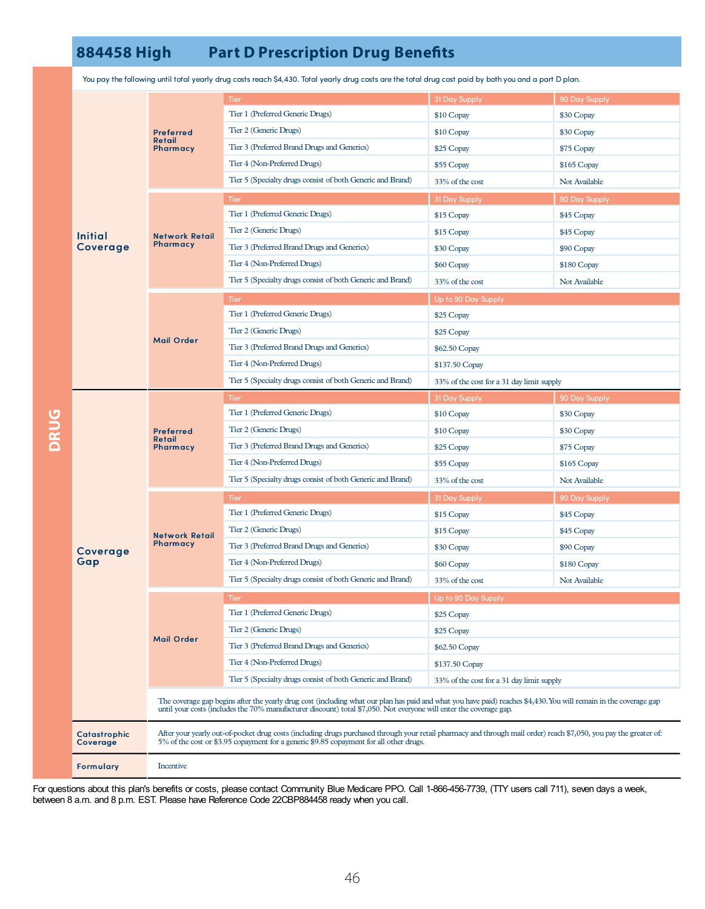## **884458 High Part D Prescription Drug Benets**

|             | <b>Initial</b><br>Coverage | <b>Preferred</b><br>Retail<br>Pharmacy                                                                                                                                                                                                                                                  | Tier                                                       | 31 Day Supply                             | 90 Day Supply |  |
|-------------|----------------------------|-----------------------------------------------------------------------------------------------------------------------------------------------------------------------------------------------------------------------------------------------------------------------------------------|------------------------------------------------------------|-------------------------------------------|---------------|--|
|             |                            |                                                                                                                                                                                                                                                                                         | Tier 1 (Preferred Generic Drugs)                           | \$10 Copay                                | \$30 Copay    |  |
|             |                            |                                                                                                                                                                                                                                                                                         | Tier 2 (Generic Drugs)                                     | \$10 Copay                                | \$30 Copay    |  |
|             |                            |                                                                                                                                                                                                                                                                                         | Tier 3 (Preferred Brand Drugs and Generics)                | \$25 Copay                                | \$75 Copay    |  |
|             |                            |                                                                                                                                                                                                                                                                                         | Tier 4 (Non-Preferred Drugs)                               | \$55 Copay                                | \$165 Copay   |  |
|             |                            | <b>Network Retail</b><br>Pharmacy                                                                                                                                                                                                                                                       | Tier 5 (Specialty drugs consist of both Generic and Brand) | 33% of the cost                           | Not Available |  |
|             |                            |                                                                                                                                                                                                                                                                                         | <b>Tier</b>                                                | 31 Day Supply                             | 90 Day Supply |  |
|             |                            |                                                                                                                                                                                                                                                                                         | Tier 1 (Preferred Generic Drugs)                           | \$15 Copay                                | \$45 Copay    |  |
|             |                            |                                                                                                                                                                                                                                                                                         | Tier 2 (Generic Drugs)                                     | \$15 Copay                                | \$45 Copay    |  |
|             |                            |                                                                                                                                                                                                                                                                                         | Tier 3 (Preferred Brand Drugs and Generics)                | \$30 Copay                                | \$90 Copay    |  |
|             |                            |                                                                                                                                                                                                                                                                                         | Tier 4 (Non-Preferred Drugs)                               | \$60 Copay                                | \$180 Copay   |  |
|             |                            |                                                                                                                                                                                                                                                                                         | Tier 5 (Specialty drugs consist of both Generic and Brand) | 33% of the cost                           | Not Available |  |
|             |                            |                                                                                                                                                                                                                                                                                         | Tier                                                       | Up to 90 Day Supply                       |               |  |
|             |                            | <b>Mail Order</b>                                                                                                                                                                                                                                                                       | Tier 1 (Preferred Generic Drugs)                           | \$25 Copay                                |               |  |
|             |                            |                                                                                                                                                                                                                                                                                         | Tier 2 (Generic Drugs)                                     | \$25 Copay                                |               |  |
|             |                            |                                                                                                                                                                                                                                                                                         | Tier 3 (Preferred Brand Drugs and Generics)                | \$62.50 Copay                             |               |  |
|             |                            |                                                                                                                                                                                                                                                                                         | Tier 4 (Non-Preferred Drugs)                               | \$137.50 Copay                            |               |  |
|             |                            |                                                                                                                                                                                                                                                                                         | Tier 5 (Specialty drugs consist of both Generic and Brand) | 33% of the cost for a 31 day limit supply |               |  |
|             | Coverage<br>Gap            | <b>Preferred</b><br>Retail<br>Pharmacy                                                                                                                                                                                                                                                  | <b>Tier</b>                                                | 31 Day Supply                             | 90 Day Supply |  |
|             |                            |                                                                                                                                                                                                                                                                                         | Tier 1 (Preferred Generic Drugs)                           | \$10 Copay                                | \$30 Copay    |  |
| <b>DRUG</b> |                            |                                                                                                                                                                                                                                                                                         | Tier 2 (Generic Drugs)                                     | \$10 Copay                                | \$30 Copay    |  |
|             |                            |                                                                                                                                                                                                                                                                                         | Tier 3 (Preferred Brand Drugs and Generics)                | \$25 Copay                                | \$75 Copay    |  |
|             |                            |                                                                                                                                                                                                                                                                                         | Tier 4 (Non-Preferred Drugs)                               | \$55 Copay                                | \$165 Copay   |  |
|             |                            |                                                                                                                                                                                                                                                                                         | Tier 5 (Specialty drugs consist of both Generic and Brand) | 33% of the cost                           | Not Available |  |
|             |                            |                                                                                                                                                                                                                                                                                         | Tier                                                       | 31 Day Supply                             | 90 Day Supply |  |
|             |                            | <b>Network Retail</b><br>Pharmacy                                                                                                                                                                                                                                                       | Tier 1 (Preferred Generic Drugs)                           | \$15 Copay                                | \$45 Copay    |  |
|             |                            |                                                                                                                                                                                                                                                                                         | Tier 2 (Generic Drugs)                                     | \$15 Copay                                | \$45 Copay    |  |
|             |                            |                                                                                                                                                                                                                                                                                         | Tier 3 (Preferred Brand Drugs and Generics)                | \$30 Copay                                | \$90 Copay    |  |
|             |                            |                                                                                                                                                                                                                                                                                         | Tier 4 (Non-Preferred Drugs)                               | \$60 Copay                                | \$180 Copay   |  |
|             |                            |                                                                                                                                                                                                                                                                                         | Tier 5 (Specialty drugs consist of both Generic and Brand) | 33% of the cost                           | Not Available |  |
|             |                            |                                                                                                                                                                                                                                                                                         | Tier                                                       | Up to 90 Day Supply                       |               |  |
|             |                            | <b>Mail Order</b>                                                                                                                                                                                                                                                                       | Tier 1 (Preferred Generic Drugs)                           | \$25 Copay                                |               |  |
|             |                            |                                                                                                                                                                                                                                                                                         | Tier 2 (Generic Drugs)                                     | \$25 Copay                                |               |  |
|             |                            |                                                                                                                                                                                                                                                                                         | Tier 3 (Preferred Brand Drugs and Generics)                | \$62.50 Copay                             |               |  |
|             |                            |                                                                                                                                                                                                                                                                                         | Tier 4 (Non-Preferred Drugs)                               | \$137.50 Copay                            |               |  |
|             |                            |                                                                                                                                                                                                                                                                                         | Tier 5 (Specialty drugs consist of both Generic and Brand) | 33% of the cost for a 31 day limit supply |               |  |
|             |                            | The coverage gap begins after the yearly drug cost (including what our plan has paid and what you have paid) reaches \$4,430. You will remain in the coverage gap<br>until your costs (includes the 70% manufacturer discount) total \$7,050. Not everyone will enter the coverage gap. |                                                            |                                           |               |  |
|             | Catastrophic<br>Coverage   | After your yearly out-of-pocket drug costs (including drugs purchased through your retail pharmacy and through mail order) reach \$7,050, you pay the greater of:<br>5% of the cost or \$3.95 copayment for a generic \$9.85 copayment for all other drugs.                             |                                                            |                                           |               |  |
|             | Formulary                  | Incentive                                                                                                                                                                                                                                                                               |                                                            |                                           |               |  |

You paythe following until total yearly drug costs reach \$4,430. Total yearly drug costs are the total drug cost paid by both you and a part D plan.

For questions about this plan's benefits or costs, please contact Community Blue Medicare PPO. Call 1-866-456-7739, (TTY users call 711), seven days a week, between 8 a.m. and 8 p.m. EST. Please have Reference Code 22CBP884458 ready when you call.